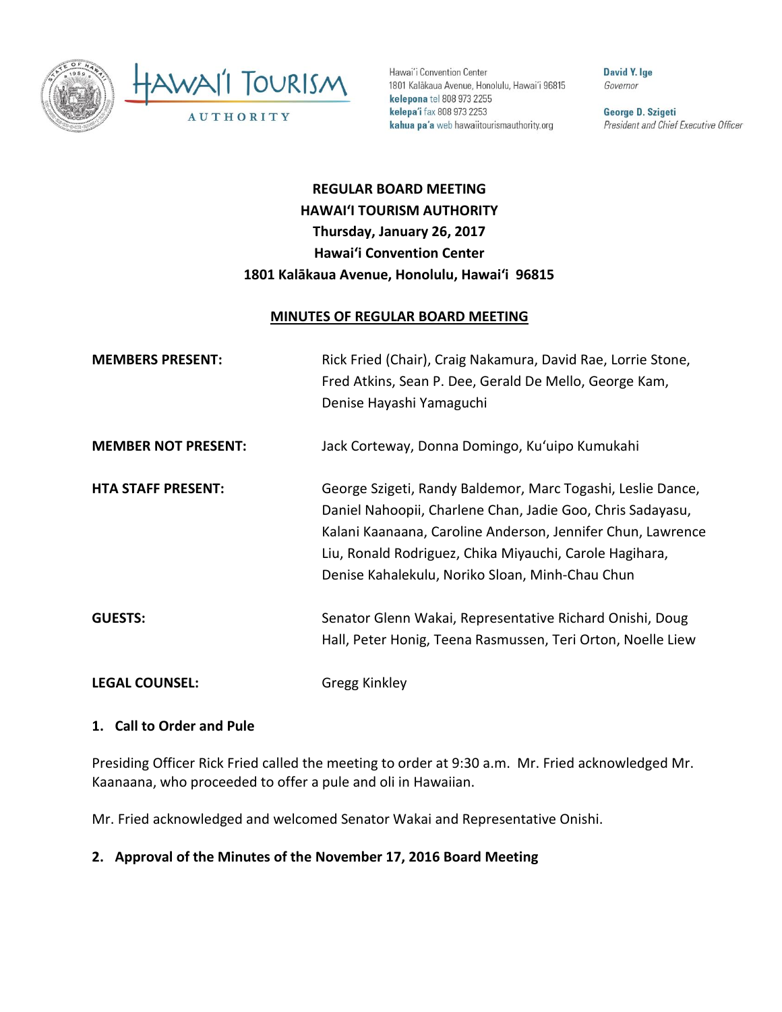

Hawai'i Convention Center 1801 Kalākaua Avenue, Honolulu, Hawai'i 96815 kelepona tel 808 973 2255 kelepa'i fax 808 973 2253 kahua pa'a web hawaiitourismauthority.org

David Y. Ige Governor

George D. Szigeti President and Chief Executive Officer

# **REGULAR BOARD MEETING HAWAI'I TOURISM AUTHORITY Thursday, January 26, 2017 Hawai'i Convention Center 1801 Kalākaua Avenue, Honolulu, Hawai'i 96815**

#### **MINUTES OF REGULAR BOARD MEETING**

| <b>MEMBERS PRESENT:</b>    | Rick Fried (Chair), Craig Nakamura, David Rae, Lorrie Stone,<br>Fred Atkins, Sean P. Dee, Gerald De Mello, George Kam,<br>Denise Hayashi Yamaguchi                                                                                                                                                     |
|----------------------------|--------------------------------------------------------------------------------------------------------------------------------------------------------------------------------------------------------------------------------------------------------------------------------------------------------|
| <b>MEMBER NOT PRESENT:</b> | Jack Corteway, Donna Domingo, Ku'uipo Kumukahi                                                                                                                                                                                                                                                         |
| <b>HTA STAFF PRESENT:</b>  | George Szigeti, Randy Baldemor, Marc Togashi, Leslie Dance,<br>Daniel Nahoopii, Charlene Chan, Jadie Goo, Chris Sadayasu,<br>Kalani Kaanaana, Caroline Anderson, Jennifer Chun, Lawrence<br>Liu, Ronald Rodriguez, Chika Miyauchi, Carole Hagihara,<br>Denise Kahalekulu, Noriko Sloan, Minh-Chau Chun |
| <b>GUESTS:</b>             | Senator Glenn Wakai, Representative Richard Onishi, Doug<br>Hall, Peter Honig, Teena Rasmussen, Teri Orton, Noelle Liew                                                                                                                                                                                |
| <b>LEGAL COUNSEL:</b>      | Gregg Kinkley                                                                                                                                                                                                                                                                                          |

#### **1. Call to Order and Pule**

Presiding Officer Rick Fried called the meeting to order at 9:30 a.m. Mr. Fried acknowledged Mr. Kaanaana, who proceeded to offer a pule and oli in Hawaiian.

Mr. Fried acknowledged and welcomed Senator Wakai and Representative Onishi.

# **2. Approval of the Minutes of the November 17, 2016 Board Meeting**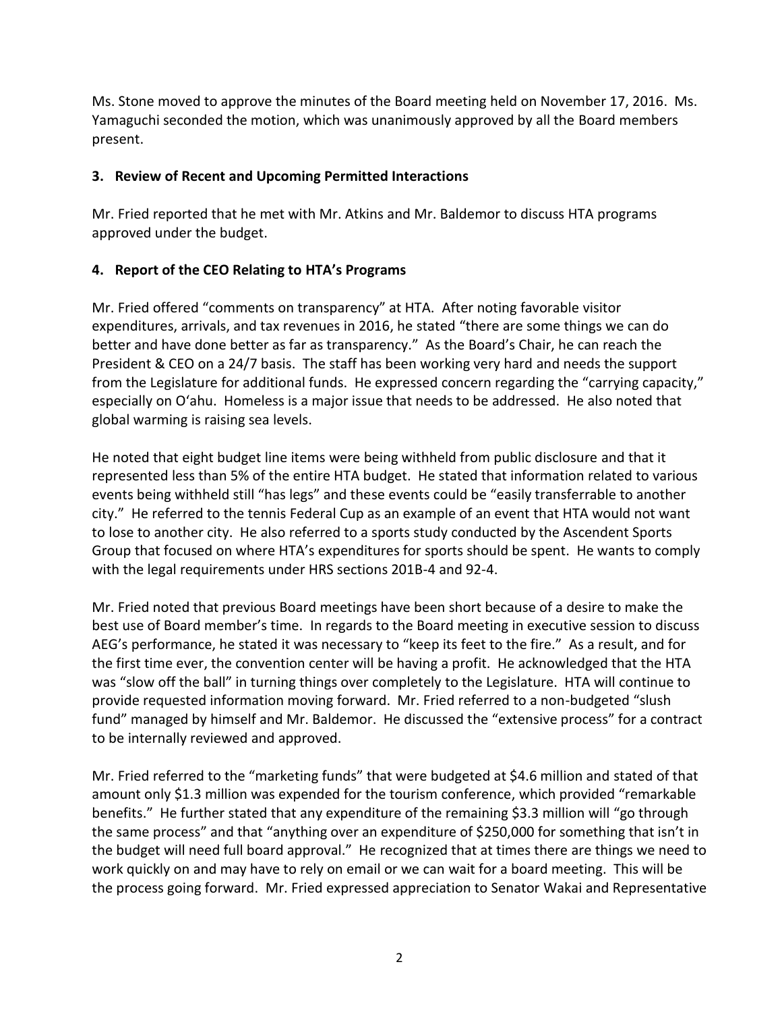Ms. Stone moved to approve the minutes of the Board meeting held on November 17, 2016. Ms. Yamaguchi seconded the motion, which was unanimously approved by all the Board members present.

# **3. Review of Recent and Upcoming Permitted Interactions**

Mr. Fried reported that he met with Mr. Atkins and Mr. Baldemor to discuss HTA programs approved under the budget.

# **4. Report of the CEO Relating to HTA's Programs**

Mr. Fried offered "comments on transparency" at HTA. After noting favorable visitor expenditures, arrivals, and tax revenues in 2016, he stated "there are some things we can do better and have done better as far as transparency." As the Board's Chair, he can reach the President & CEO on a 24/7 basis. The staff has been working very hard and needs the support from the Legislature for additional funds. He expressed concern regarding the "carrying capacity," especially on O'ahu. Homeless is a major issue that needs to be addressed. He also noted that global warming is raising sea levels.

He noted that eight budget line items were being withheld from public disclosure and that it represented less than 5% of the entire HTA budget. He stated that information related to various events being withheld still "has legs" and these events could be "easily transferrable to another city." He referred to the tennis Federal Cup as an example of an event that HTA would not want to lose to another city. He also referred to a sports study conducted by the Ascendent Sports Group that focused on where HTA's expenditures for sports should be spent. He wants to comply with the legal requirements under HRS sections 201B-4 and 92-4.

Mr. Fried noted that previous Board meetings have been short because of a desire to make the best use of Board member's time. In regards to the Board meeting in executive session to discuss AEG's performance, he stated it was necessary to "keep its feet to the fire." As a result, and for the first time ever, the convention center will be having a profit. He acknowledged that the HTA was "slow off the ball" in turning things over completely to the Legislature. HTA will continue to provide requested information moving forward. Mr. Fried referred to a non-budgeted "slush fund" managed by himself and Mr. Baldemor. He discussed the "extensive process" for a contract to be internally reviewed and approved.

Mr. Fried referred to the "marketing funds" that were budgeted at \$4.6 million and stated of that amount only \$1.3 million was expended for the tourism conference, which provided "remarkable benefits." He further stated that any expenditure of the remaining \$3.3 million will "go through the same process" and that "anything over an expenditure of \$250,000 for something that isn't in the budget will need full board approval." He recognized that at times there are things we need to work quickly on and may have to rely on email or we can wait for a board meeting. This will be the process going forward. Mr. Fried expressed appreciation to Senator Wakai and Representative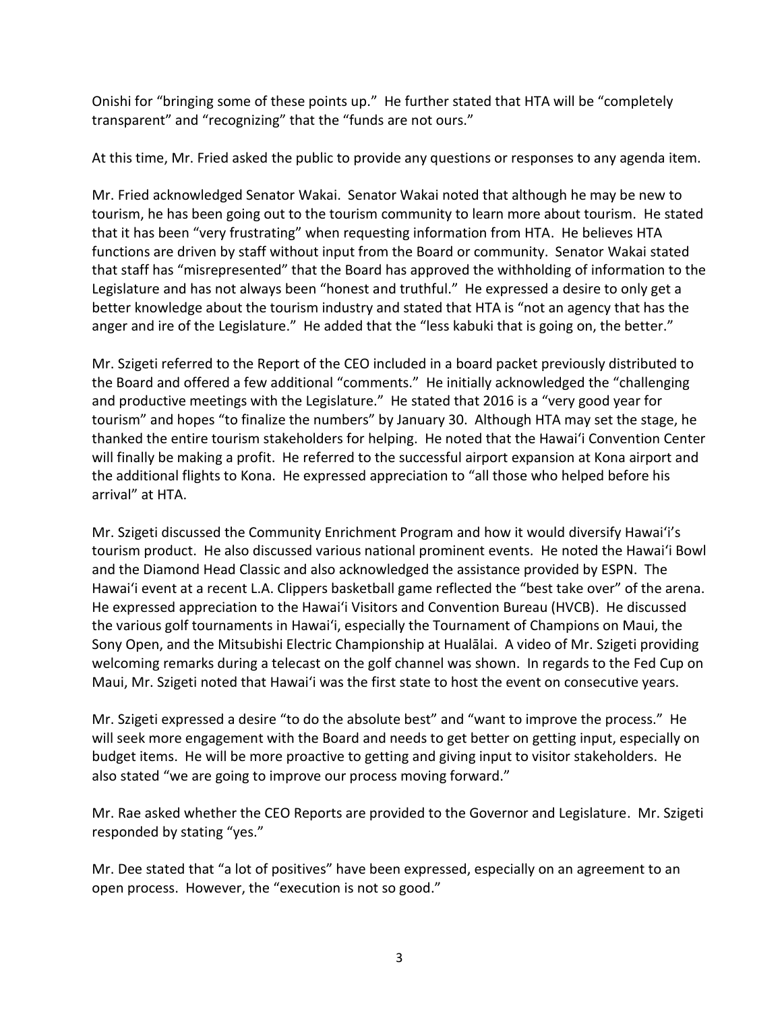Onishi for "bringing some of these points up." He further stated that HTA will be "completely transparent" and "recognizing" that the "funds are not ours."

At this time, Mr. Fried asked the public to provide any questions or responses to any agenda item.

Mr. Fried acknowledged Senator Wakai. Senator Wakai noted that although he may be new to tourism, he has been going out to the tourism community to learn more about tourism. He stated that it has been "very frustrating" when requesting information from HTA. He believes HTA functions are driven by staff without input from the Board or community. Senator Wakai stated that staff has "misrepresented" that the Board has approved the withholding of information to the Legislature and has not always been "honest and truthful." He expressed a desire to only get a better knowledge about the tourism industry and stated that HTA is "not an agency that has the anger and ire of the Legislature." He added that the "less kabuki that is going on, the better."

Mr. Szigeti referred to the Report of the CEO included in a board packet previously distributed to the Board and offered a few additional "comments." He initially acknowledged the "challenging and productive meetings with the Legislature." He stated that 2016 is a "very good year for tourism" and hopes "to finalize the numbers" by January 30. Although HTA may set the stage, he thanked the entire tourism stakeholders for helping. He noted that the Hawai'i Convention Center will finally be making a profit. He referred to the successful airport expansion at Kona airport and the additional flights to Kona. He expressed appreciation to "all those who helped before his arrival" at HTA.

Mr. Szigeti discussed the Community Enrichment Program and how it would diversify Hawai'i's tourism product. He also discussed various national prominent events. He noted the Hawai'i Bowl and the Diamond Head Classic and also acknowledged the assistance provided by ESPN. The Hawai'i event at a recent L.A. Clippers basketball game reflected the "best take over" of the arena. He expressed appreciation to the Hawai'i Visitors and Convention Bureau (HVCB). He discussed the various golf tournaments in Hawai'i, especially the Tournament of Champions on Maui, the Sony Open, and the Mitsubishi Electric Championship at Hualālai. A video of Mr. Szigeti providing welcoming remarks during a telecast on the golf channel was shown. In regards to the Fed Cup on Maui, Mr. Szigeti noted that Hawai'i was the first state to host the event on consecutive years.

Mr. Szigeti expressed a desire "to do the absolute best" and "want to improve the process." He will seek more engagement with the Board and needs to get better on getting input, especially on budget items. He will be more proactive to getting and giving input to visitor stakeholders. He also stated "we are going to improve our process moving forward."

Mr. Rae asked whether the CEO Reports are provided to the Governor and Legislature. Mr. Szigeti responded by stating "yes."

Mr. Dee stated that "a lot of positives" have been expressed, especially on an agreement to an open process. However, the "execution is not so good."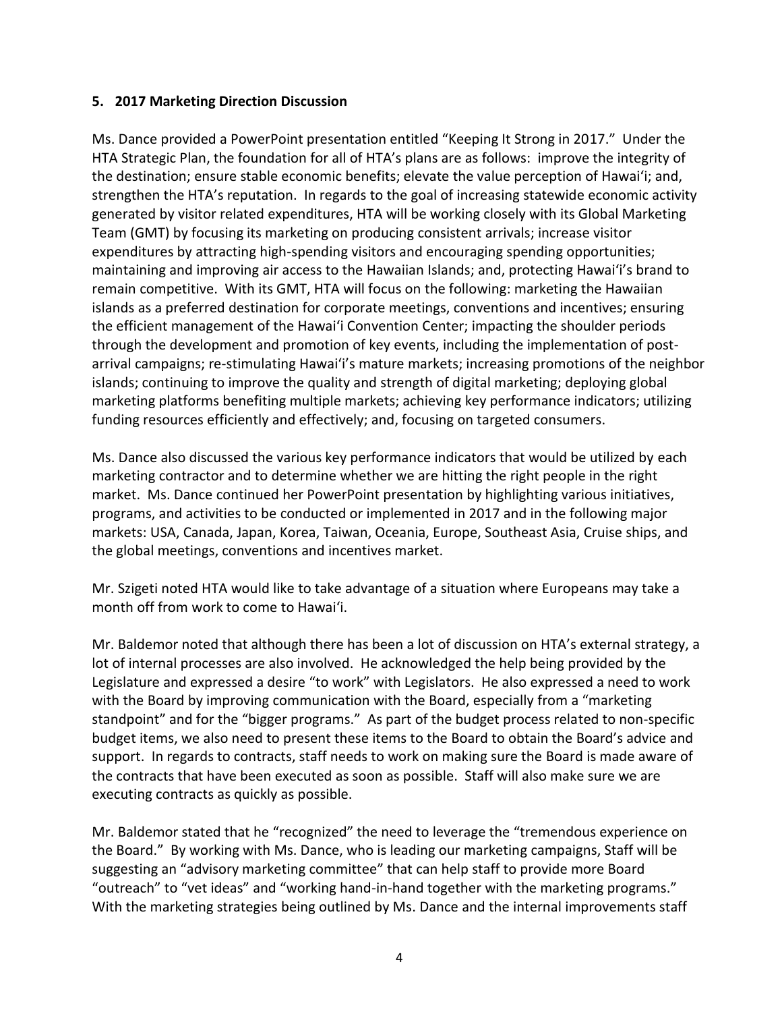### **5. 2017 Marketing Direction Discussion**

Ms. Dance provided a PowerPoint presentation entitled "Keeping It Strong in 2017." Under the HTA Strategic Plan, the foundation for all of HTA's plans are as follows: improve the integrity of the destination; ensure stable economic benefits; elevate the value perception of Hawai'i; and, strengthen the HTA's reputation. In regards to the goal of increasing statewide economic activity generated by visitor related expenditures, HTA will be working closely with its Global Marketing Team (GMT) by focusing its marketing on producing consistent arrivals; increase visitor expenditures by attracting high-spending visitors and encouraging spending opportunities; maintaining and improving air access to the Hawaiian Islands; and, protecting Hawai'i's brand to remain competitive. With its GMT, HTA will focus on the following: marketing the Hawaiian islands as a preferred destination for corporate meetings, conventions and incentives; ensuring the efficient management of the Hawai'i Convention Center; impacting the shoulder periods through the development and promotion of key events, including the implementation of postarrival campaigns; re-stimulating Hawai'i's mature markets; increasing promotions of the neighbor islands; continuing to improve the quality and strength of digital marketing; deploying global marketing platforms benefiting multiple markets; achieving key performance indicators; utilizing funding resources efficiently and effectively; and, focusing on targeted consumers.

Ms. Dance also discussed the various key performance indicators that would be utilized by each marketing contractor and to determine whether we are hitting the right people in the right market. Ms. Dance continued her PowerPoint presentation by highlighting various initiatives, programs, and activities to be conducted or implemented in 2017 and in the following major markets: USA, Canada, Japan, Korea, Taiwan, Oceania, Europe, Southeast Asia, Cruise ships, and the global meetings, conventions and incentives market.

Mr. Szigeti noted HTA would like to take advantage of a situation where Europeans may take a month off from work to come to Hawai'i.

Mr. Baldemor noted that although there has been a lot of discussion on HTA's external strategy, a lot of internal processes are also involved. He acknowledged the help being provided by the Legislature and expressed a desire "to work" with Legislators. He also expressed a need to work with the Board by improving communication with the Board, especially from a "marketing standpoint" and for the "bigger programs." As part of the budget process related to non-specific budget items, we also need to present these items to the Board to obtain the Board's advice and support. In regards to contracts, staff needs to work on making sure the Board is made aware of the contracts that have been executed as soon as possible. Staff will also make sure we are executing contracts as quickly as possible.

Mr. Baldemor stated that he "recognized" the need to leverage the "tremendous experience on the Board." By working with Ms. Dance, who is leading our marketing campaigns, Staff will be suggesting an "advisory marketing committee" that can help staff to provide more Board "outreach" to "vet ideas" and "working hand-in-hand together with the marketing programs." With the marketing strategies being outlined by Ms. Dance and the internal improvements staff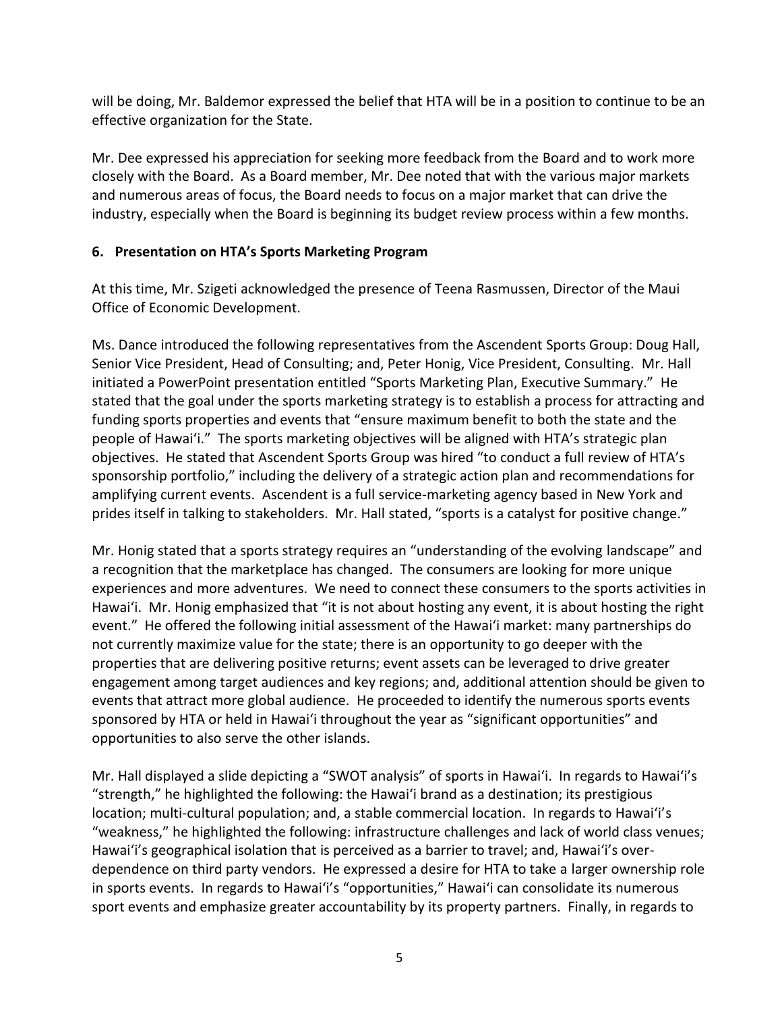will be doing, Mr. Baldemor expressed the belief that HTA will be in a position to continue to be an effective organization for the State.

Mr. Dee expressed his appreciation for seeking more feedback from the Board and to work more closely with the Board. As a Board member, Mr. Dee noted that with the various major markets and numerous areas of focus, the Board needs to focus on a major market that can drive the industry, especially when the Board is beginning its budget review process within a few months.

# **6. Presentation on HTA's Sports Marketing Program**

At this time, Mr. Szigeti acknowledged the presence of Teena Rasmussen, Director of the Maui Office of Economic Development.

Ms. Dance introduced the following representatives from the Ascendent Sports Group: Doug Hall, Senior Vice President, Head of Consulting; and, Peter Honig, Vice President, Consulting. Mr. Hall initiated a PowerPoint presentation entitled "Sports Marketing Plan, Executive Summary." He stated that the goal under the sports marketing strategy is to establish a process for attracting and funding sports properties and events that "ensure maximum benefit to both the state and the people of Hawai'i." The sports marketing objectives will be aligned with HTA's strategic plan objectives. He stated that Ascendent Sports Group was hired "to conduct a full review of HTA's sponsorship portfolio," including the delivery of a strategic action plan and recommendations for amplifying current events. Ascendent is a full service-marketing agency based in New York and prides itself in talking to stakeholders. Mr. Hall stated, "sports is a catalyst for positive change."

Mr. Honig stated that a sports strategy requires an "understanding of the evolving landscape" and a recognition that the marketplace has changed. The consumers are looking for more unique experiences and more adventures. We need to connect these consumers to the sports activities in Hawai'i. Mr. Honig emphasized that "it is not about hosting any event, it is about hosting the right event." He offered the following initial assessment of the Hawai'i market: many partnerships do not currently maximize value for the state; there is an opportunity to go deeper with the properties that are delivering positive returns; event assets can be leveraged to drive greater engagement among target audiences and key regions; and, additional attention should be given to events that attract more global audience. He proceeded to identify the numerous sports events sponsored by HTA or held in Hawai'i throughout the year as "significant opportunities" and opportunities to also serve the other islands.

Mr. Hall displayed a slide depicting a "SWOT analysis" of sports in Hawai'i. In regards to Hawai'i's "strength," he highlighted the following: the Hawai'i brand as a destination; its prestigious location; multi-cultural population; and, a stable commercial location. In regards to Hawai'i's "weakness," he highlighted the following: infrastructure challenges and lack of world class venues; Hawai'i's geographical isolation that is perceived as a barrier to travel; and, Hawai'i's overdependence on third party vendors. He expressed a desire for HTA to take a larger ownership role in sports events. In regards to Hawai'i's "opportunities," Hawai'i can consolidate its numerous sport events and emphasize greater accountability by its property partners. Finally, in regards to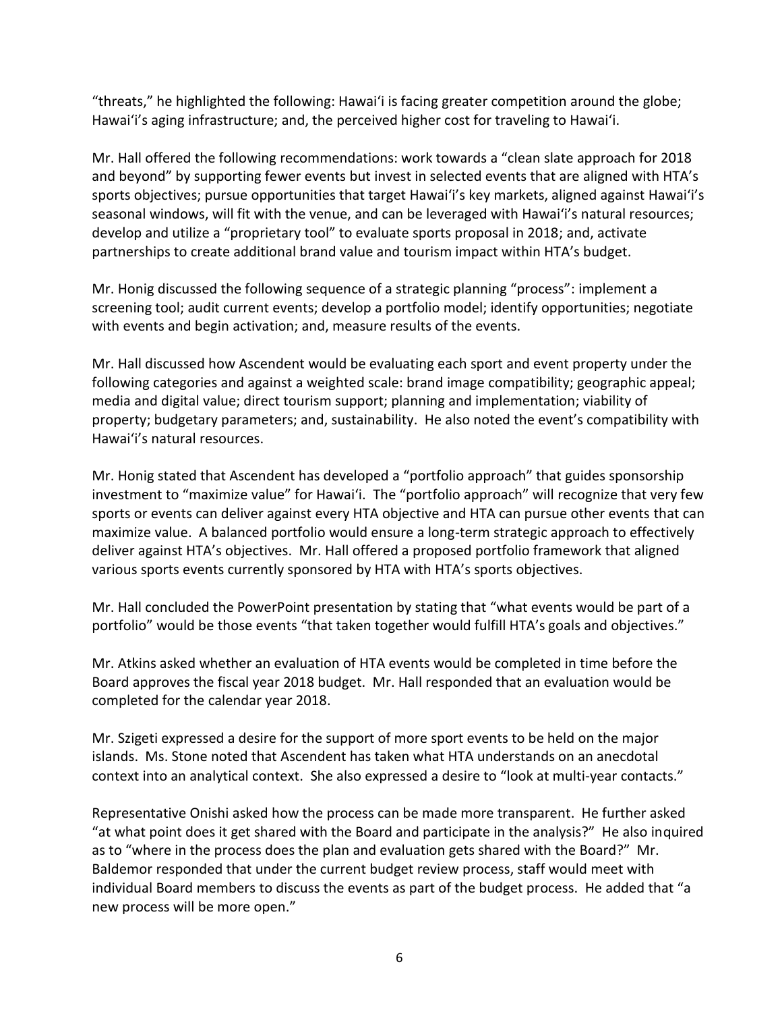"threats," he highlighted the following: Hawai'i is facing greater competition around the globe; Hawai'i's aging infrastructure; and, the perceived higher cost for traveling to Hawai'i.

Mr. Hall offered the following recommendations: work towards a "clean slate approach for 2018 and beyond" by supporting fewer events but invest in selected events that are aligned with HTA's sports objectives; pursue opportunities that target Hawai'i's key markets, aligned against Hawai'i's seasonal windows, will fit with the venue, and can be leveraged with Hawai'i's natural resources; develop and utilize a "proprietary tool" to evaluate sports proposal in 2018; and, activate partnerships to create additional brand value and tourism impact within HTA's budget.

Mr. Honig discussed the following sequence of a strategic planning "process": implement a screening tool; audit current events; develop a portfolio model; identify opportunities; negotiate with events and begin activation; and, measure results of the events.

Mr. Hall discussed how Ascendent would be evaluating each sport and event property under the following categories and against a weighted scale: brand image compatibility; geographic appeal; media and digital value; direct tourism support; planning and implementation; viability of property; budgetary parameters; and, sustainability. He also noted the event's compatibility with Hawai'i's natural resources.

Mr. Honig stated that Ascendent has developed a "portfolio approach" that guides sponsorship investment to "maximize value" for Hawai'i. The "portfolio approach" will recognize that very few sports or events can deliver against every HTA objective and HTA can pursue other events that can maximize value. A balanced portfolio would ensure a long-term strategic approach to effectively deliver against HTA's objectives. Mr. Hall offered a proposed portfolio framework that aligned various sports events currently sponsored by HTA with HTA's sports objectives.

Mr. Hall concluded the PowerPoint presentation by stating that "what events would be part of a portfolio" would be those events "that taken together would fulfill HTA's goals and objectives."

Mr. Atkins asked whether an evaluation of HTA events would be completed in time before the Board approves the fiscal year 2018 budget. Mr. Hall responded that an evaluation would be completed for the calendar year 2018.

Mr. Szigeti expressed a desire for the support of more sport events to be held on the major islands. Ms. Stone noted that Ascendent has taken what HTA understands on an anecdotal context into an analytical context. She also expressed a desire to "look at multi-year contacts."

Representative Onishi asked how the process can be made more transparent. He further asked "at what point does it get shared with the Board and participate in the analysis?" He also inquired as to "where in the process does the plan and evaluation gets shared with the Board?" Mr. Baldemor responded that under the current budget review process, staff would meet with individual Board members to discuss the events as part of the budget process. He added that "a new process will be more open."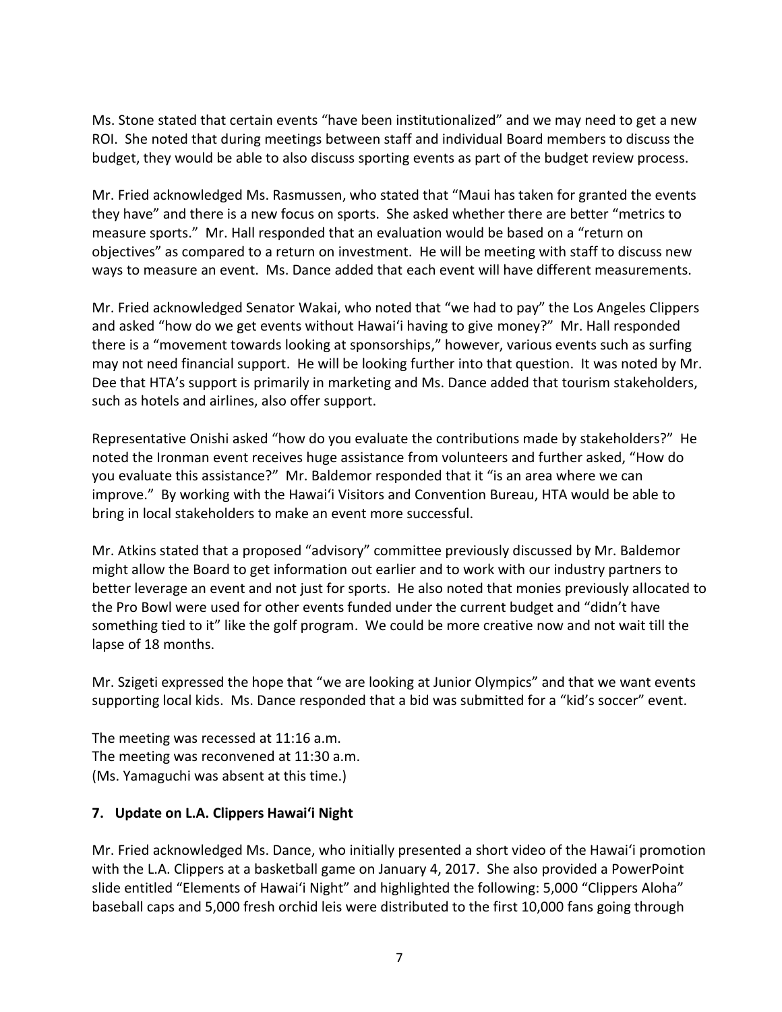Ms. Stone stated that certain events "have been institutionalized" and we may need to get a new ROI. She noted that during meetings between staff and individual Board members to discuss the budget, they would be able to also discuss sporting events as part of the budget review process.

Mr. Fried acknowledged Ms. Rasmussen, who stated that "Maui has taken for granted the events they have" and there is a new focus on sports. She asked whether there are better "metrics to measure sports." Mr. Hall responded that an evaluation would be based on a "return on objectives" as compared to a return on investment. He will be meeting with staff to discuss new ways to measure an event. Ms. Dance added that each event will have different measurements.

Mr. Fried acknowledged Senator Wakai, who noted that "we had to pay" the Los Angeles Clippers and asked "how do we get events without Hawai'i having to give money?" Mr. Hall responded there is a "movement towards looking at sponsorships," however, various events such as surfing may not need financial support. He will be looking further into that question. It was noted by Mr. Dee that HTA's support is primarily in marketing and Ms. Dance added that tourism stakeholders, such as hotels and airlines, also offer support.

Representative Onishi asked "how do you evaluate the contributions made by stakeholders?" He noted the Ironman event receives huge assistance from volunteers and further asked, "How do you evaluate this assistance?" Mr. Baldemor responded that it "is an area where we can improve." By working with the Hawai'i Visitors and Convention Bureau, HTA would be able to bring in local stakeholders to make an event more successful.

Mr. Atkins stated that a proposed "advisory" committee previously discussed by Mr. Baldemor might allow the Board to get information out earlier and to work with our industry partners to better leverage an event and not just for sports. He also noted that monies previously allocated to the Pro Bowl were used for other events funded under the current budget and "didn't have something tied to it" like the golf program. We could be more creative now and not wait till the lapse of 18 months.

Mr. Szigeti expressed the hope that "we are looking at Junior Olympics" and that we want events supporting local kids. Ms. Dance responded that a bid was submitted for a "kid's soccer" event.

The meeting was recessed at 11:16 a.m. The meeting was reconvened at 11:30 a.m. (Ms. Yamaguchi was absent at this time.)

#### **7. Update on L.A. Clippers Hawai'i Night**

Mr. Fried acknowledged Ms. Dance, who initially presented a short video of the Hawai'i promotion with the L.A. Clippers at a basketball game on January 4, 2017. She also provided a PowerPoint slide entitled "Elements of Hawai'i Night" and highlighted the following: 5,000 "Clippers Aloha" baseball caps and 5,000 fresh orchid leis were distributed to the first 10,000 fans going through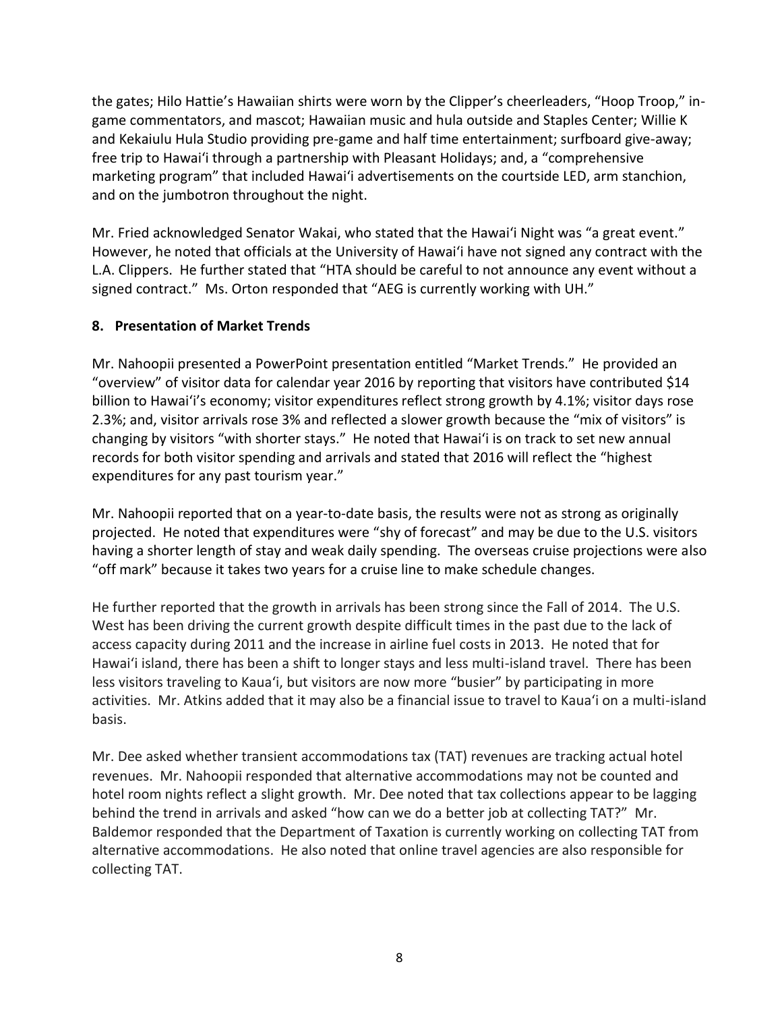the gates; Hilo Hattie's Hawaiian shirts were worn by the Clipper's cheerleaders, "Hoop Troop," ingame commentators, and mascot; Hawaiian music and hula outside and Staples Center; Willie K and Kekaiulu Hula Studio providing pre-game and half time entertainment; surfboard give-away; free trip to Hawai'i through a partnership with Pleasant Holidays; and, a "comprehensive marketing program" that included Hawai'i advertisements on the courtside LED, arm stanchion, and on the jumbotron throughout the night.

Mr. Fried acknowledged Senator Wakai, who stated that the Hawai'i Night was "a great event." However, he noted that officials at the University of Hawai'i have not signed any contract with the L.A. Clippers. He further stated that "HTA should be careful to not announce any event without a signed contract." Ms. Orton responded that "AEG is currently working with UH."

# **8. Presentation of Market Trends**

Mr. Nahoopii presented a PowerPoint presentation entitled "Market Trends." He provided an "overview" of visitor data for calendar year 2016 by reporting that visitors have contributed \$14 billion to Hawai'i's economy; visitor expenditures reflect strong growth by 4.1%; visitor days rose 2.3%; and, visitor arrivals rose 3% and reflected a slower growth because the "mix of visitors" is changing by visitors "with shorter stays." He noted that Hawai'i is on track to set new annual records for both visitor spending and arrivals and stated that 2016 will reflect the "highest expenditures for any past tourism year."

Mr. Nahoopii reported that on a year-to-date basis, the results were not as strong as originally projected. He noted that expenditures were "shy of forecast" and may be due to the U.S. visitors having a shorter length of stay and weak daily spending. The overseas cruise projections were also "off mark" because it takes two years for a cruise line to make schedule changes.

He further reported that the growth in arrivals has been strong since the Fall of 2014. The U.S. West has been driving the current growth despite difficult times in the past due to the lack of access capacity during 2011 and the increase in airline fuel costs in 2013. He noted that for Hawai'i island, there has been a shift to longer stays and less multi-island travel. There has been less visitors traveling to Kaua'i, but visitors are now more "busier" by participating in more activities. Mr. Atkins added that it may also be a financial issue to travel to Kaua'i on a multi-island basis.

Mr. Dee asked whether transient accommodations tax (TAT) revenues are tracking actual hotel revenues. Mr. Nahoopii responded that alternative accommodations may not be counted and hotel room nights reflect a slight growth. Mr. Dee noted that tax collections appear to be lagging behind the trend in arrivals and asked "how can we do a better job at collecting TAT?" Mr. Baldemor responded that the Department of Taxation is currently working on collecting TAT from alternative accommodations. He also noted that online travel agencies are also responsible for collecting TAT.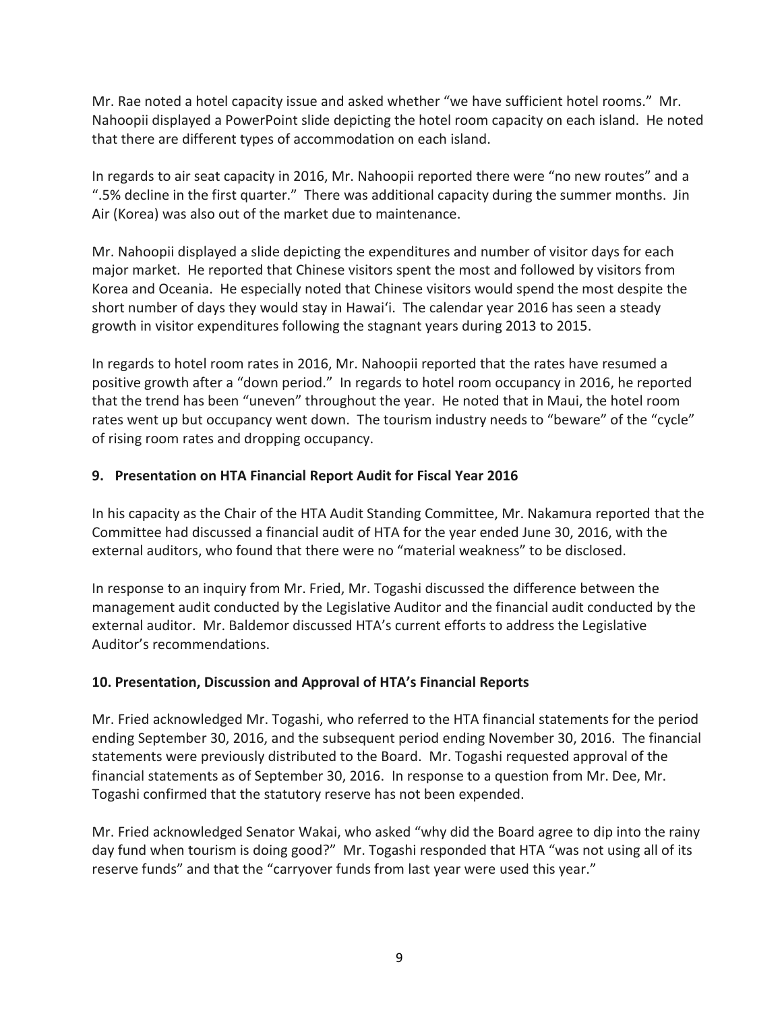Mr. Rae noted a hotel capacity issue and asked whether "we have sufficient hotel rooms." Mr. Nahoopii displayed a PowerPoint slide depicting the hotel room capacity on each island. He noted that there are different types of accommodation on each island.

In regards to air seat capacity in 2016, Mr. Nahoopii reported there were "no new routes" and a ".5% decline in the first quarter." There was additional capacity during the summer months. Jin Air (Korea) was also out of the market due to maintenance.

Mr. Nahoopii displayed a slide depicting the expenditures and number of visitor days for each major market. He reported that Chinese visitors spent the most and followed by visitors from Korea and Oceania. He especially noted that Chinese visitors would spend the most despite the short number of days they would stay in Hawai'i. The calendar year 2016 has seen a steady growth in visitor expenditures following the stagnant years during 2013 to 2015.

In regards to hotel room rates in 2016, Mr. Nahoopii reported that the rates have resumed a positive growth after a "down period." In regards to hotel room occupancy in 2016, he reported that the trend has been "uneven" throughout the year. He noted that in Maui, the hotel room rates went up but occupancy went down. The tourism industry needs to "beware" of the "cycle" of rising room rates and dropping occupancy.

# **9. Presentation on HTA Financial Report Audit for Fiscal Year 2016**

In his capacity as the Chair of the HTA Audit Standing Committee, Mr. Nakamura reported that the Committee had discussed a financial audit of HTA for the year ended June 30, 2016, with the external auditors, who found that there were no "material weakness" to be disclosed.

In response to an inquiry from Mr. Fried, Mr. Togashi discussed the difference between the management audit conducted by the Legislative Auditor and the financial audit conducted by the external auditor. Mr. Baldemor discussed HTA's current efforts to address the Legislative Auditor's recommendations.

# **10. Presentation, Discussion and Approval of HTA's Financial Reports**

Mr. Fried acknowledged Mr. Togashi, who referred to the HTA financial statements for the period ending September 30, 2016, and the subsequent period ending November 30, 2016. The financial statements were previously distributed to the Board. Mr. Togashi requested approval of the financial statements as of September 30, 2016. In response to a question from Mr. Dee, Mr. Togashi confirmed that the statutory reserve has not been expended.

Mr. Fried acknowledged Senator Wakai, who asked "why did the Board agree to dip into the rainy day fund when tourism is doing good?" Mr. Togashi responded that HTA "was not using all of its reserve funds" and that the "carryover funds from last year were used this year."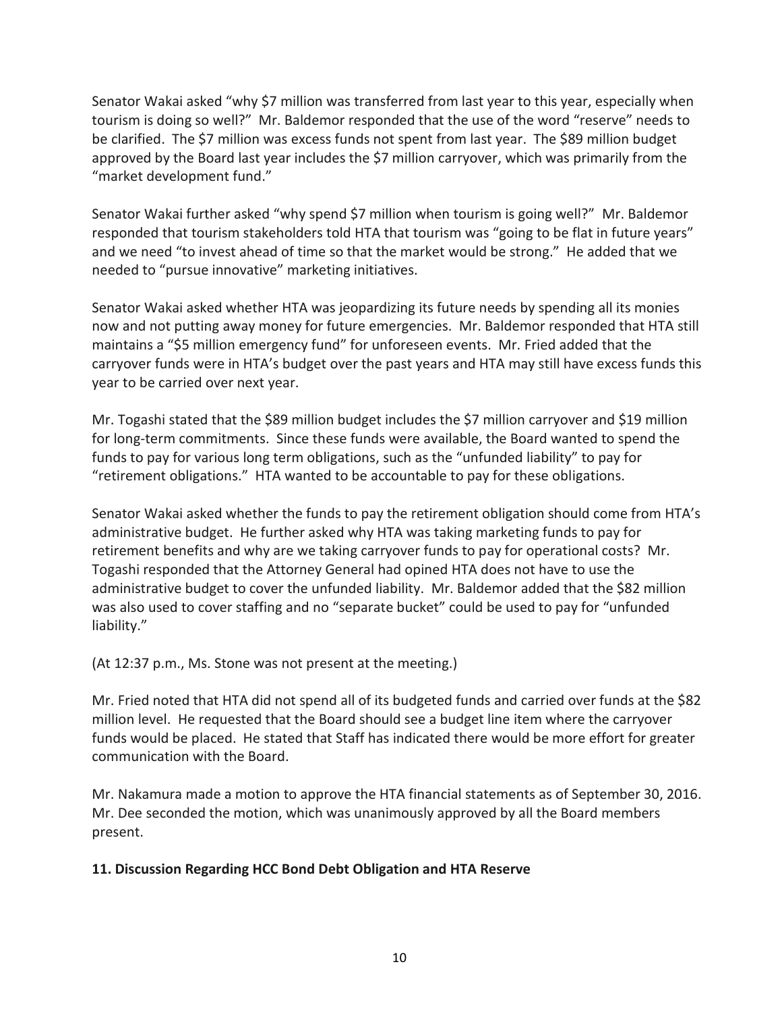Senator Wakai asked "why \$7 million was transferred from last year to this year, especially when tourism is doing so well?" Mr. Baldemor responded that the use of the word "reserve" needs to be clarified. The \$7 million was excess funds not spent from last year. The \$89 million budget approved by the Board last year includes the \$7 million carryover, which was primarily from the "market development fund."

Senator Wakai further asked "why spend \$7 million when tourism is going well?" Mr. Baldemor responded that tourism stakeholders told HTA that tourism was "going to be flat in future years" and we need "to invest ahead of time so that the market would be strong." He added that we needed to "pursue innovative" marketing initiatives.

Senator Wakai asked whether HTA was jeopardizing its future needs by spending all its monies now and not putting away money for future emergencies. Mr. Baldemor responded that HTA still maintains a "\$5 million emergency fund" for unforeseen events. Mr. Fried added that the carryover funds were in HTA's budget over the past years and HTA may still have excess funds this year to be carried over next year.

Mr. Togashi stated that the \$89 million budget includes the \$7 million carryover and \$19 million for long-term commitments. Since these funds were available, the Board wanted to spend the funds to pay for various long term obligations, such as the "unfunded liability" to pay for "retirement obligations." HTA wanted to be accountable to pay for these obligations.

Senator Wakai asked whether the funds to pay the retirement obligation should come from HTA's administrative budget. He further asked why HTA was taking marketing funds to pay for retirement benefits and why are we taking carryover funds to pay for operational costs? Mr. Togashi responded that the Attorney General had opined HTA does not have to use the administrative budget to cover the unfunded liability. Mr. Baldemor added that the \$82 million was also used to cover staffing and no "separate bucket" could be used to pay for "unfunded liability."

(At 12:37 p.m., Ms. Stone was not present at the meeting.)

Mr. Fried noted that HTA did not spend all of its budgeted funds and carried over funds at the \$82 million level. He requested that the Board should see a budget line item where the carryover funds would be placed. He stated that Staff has indicated there would be more effort for greater communication with the Board.

Mr. Nakamura made a motion to approve the HTA financial statements as of September 30, 2016. Mr. Dee seconded the motion, which was unanimously approved by all the Board members present.

# **11. Discussion Regarding HCC Bond Debt Obligation and HTA Reserve**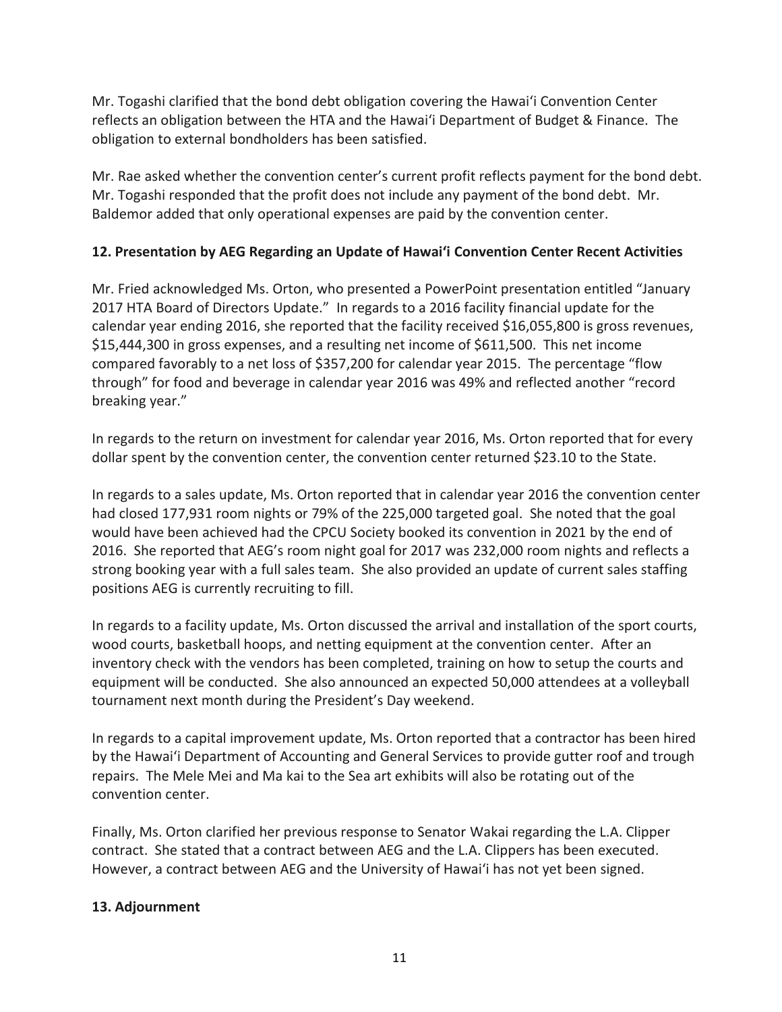Mr. Togashi clarified that the bond debt obligation covering the Hawai'i Convention Center reflects an obligation between the HTA and the Hawai'i Department of Budget & Finance. The obligation to external bondholders has been satisfied.

Mr. Rae asked whether the convention center's current profit reflects payment for the bond debt. Mr. Togashi responded that the profit does not include any payment of the bond debt. Mr. Baldemor added that only operational expenses are paid by the convention center.

# **12. Presentation by AEG Regarding an Update of Hawai'i Convention Center Recent Activities**

Mr. Fried acknowledged Ms. Orton, who presented a PowerPoint presentation entitled "January 2017 HTA Board of Directors Update." In regards to a 2016 facility financial update for the calendar year ending 2016, she reported that the facility received \$16,055,800 is gross revenues, \$15,444,300 in gross expenses, and a resulting net income of \$611,500. This net income compared favorably to a net loss of \$357,200 for calendar year 2015. The percentage "flow through" for food and beverage in calendar year 2016 was 49% and reflected another "record breaking year."

In regards to the return on investment for calendar year 2016, Ms. Orton reported that for every dollar spent by the convention center, the convention center returned \$23.10 to the State.

In regards to a sales update, Ms. Orton reported that in calendar year 2016 the convention center had closed 177,931 room nights or 79% of the 225,000 targeted goal. She noted that the goal would have been achieved had the CPCU Society booked its convention in 2021 by the end of 2016. She reported that AEG's room night goal for 2017 was 232,000 room nights and reflects a strong booking year with a full sales team. She also provided an update of current sales staffing positions AEG is currently recruiting to fill.

In regards to a facility update, Ms. Orton discussed the arrival and installation of the sport courts, wood courts, basketball hoops, and netting equipment at the convention center. After an inventory check with the vendors has been completed, training on how to setup the courts and equipment will be conducted. She also announced an expected 50,000 attendees at a volleyball tournament next month during the President's Day weekend.

In regards to a capital improvement update, Ms. Orton reported that a contractor has been hired by the Hawai'i Department of Accounting and General Services to provide gutter roof and trough repairs. The Mele Mei and Ma kai to the Sea art exhibits will also be rotating out of the convention center.

Finally, Ms. Orton clarified her previous response to Senator Wakai regarding the L.A. Clipper contract. She stated that a contract between AEG and the L.A. Clippers has been executed. However, a contract between AEG and the University of Hawai'i has not yet been signed.

# **13. Adjournment**